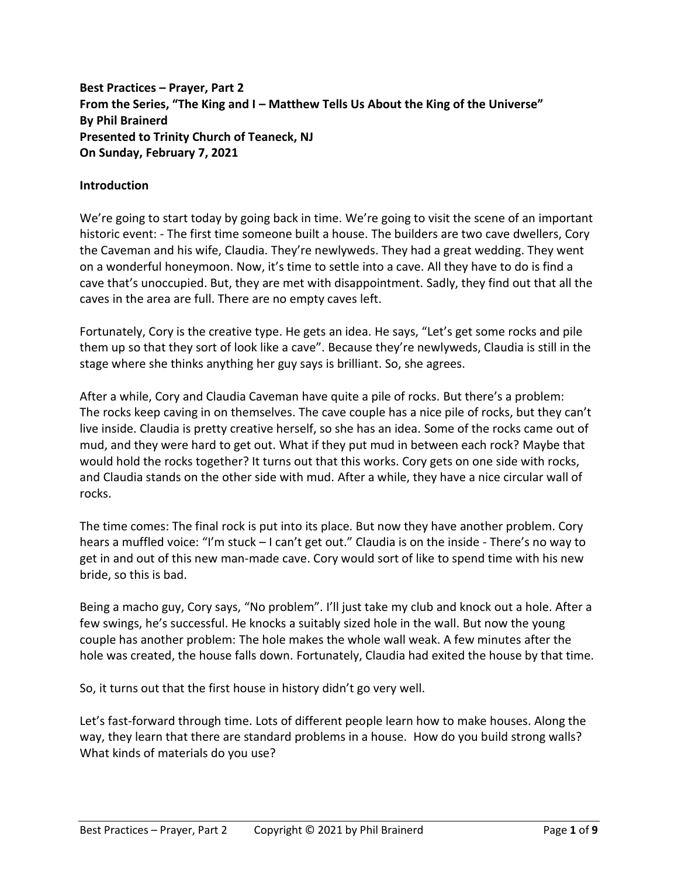**Best Practices – Prayer, Part 2 From the Series, "The King and I – Matthew Tells Us About the King of the Universe" By Phil Brainerd Presented to Trinity Church of Teaneck, NJ On Sunday, February 7, 2021**

## **Introduction**

We're going to start today by going back in time. We're going to visit the scene of an important historic event: - The first time someone built a house. The builders are two cave dwellers, Cory the Caveman and his wife, Claudia. They're newlyweds. They had a great wedding. They went on a wonderful honeymoon. Now, it's time to settle into a cave. All they have to do is find a cave that's unoccupied. But, they are met with disappointment. Sadly, they find out that all the caves in the area are full. There are no empty caves left.

Fortunately, Cory is the creative type. He gets an idea. He says, "Let's get some rocks and pile them up so that they sort of look like a cave". Because they're newlyweds, Claudia is still in the stage where she thinks anything her guy says is brilliant. So, she agrees.

After a while, Cory and Claudia Caveman have quite a pile of rocks. But there's a problem: The rocks keep caving in on themselves. The cave couple has a nice pile of rocks, but they can't live inside. Claudia is pretty creative herself, so she has an idea. Some of the rocks came out of mud, and they were hard to get out. What if they put mud in between each rock? Maybe that would hold the rocks together? It turns out that this works. Cory gets on one side with rocks, and Claudia stands on the other side with mud. After a while, they have a nice circular wall of rocks.

The time comes: The final rock is put into its place. But now they have another problem. Cory hears a muffled voice: "I'm stuck – I can't get out." Claudia is on the inside - There's no way to get in and out of this new man-made cave. Cory would sort of like to spend time with his new bride, so this is bad.

Being a macho guy, Cory says, "No problem". I'll just take my club and knock out a hole. After a few swings, he's successful. He knocks a suitably sized hole in the wall. But now the young couple has another problem: The hole makes the whole wall weak. A few minutes after the hole was created, the house falls down. Fortunately, Claudia had exited the house by that time.

So, it turns out that the first house in history didn't go very well.

Let's fast-forward through time. Lots of different people learn how to make houses. Along the way, they learn that there are standard problems in a house. How do you build strong walls? What kinds of materials do you use?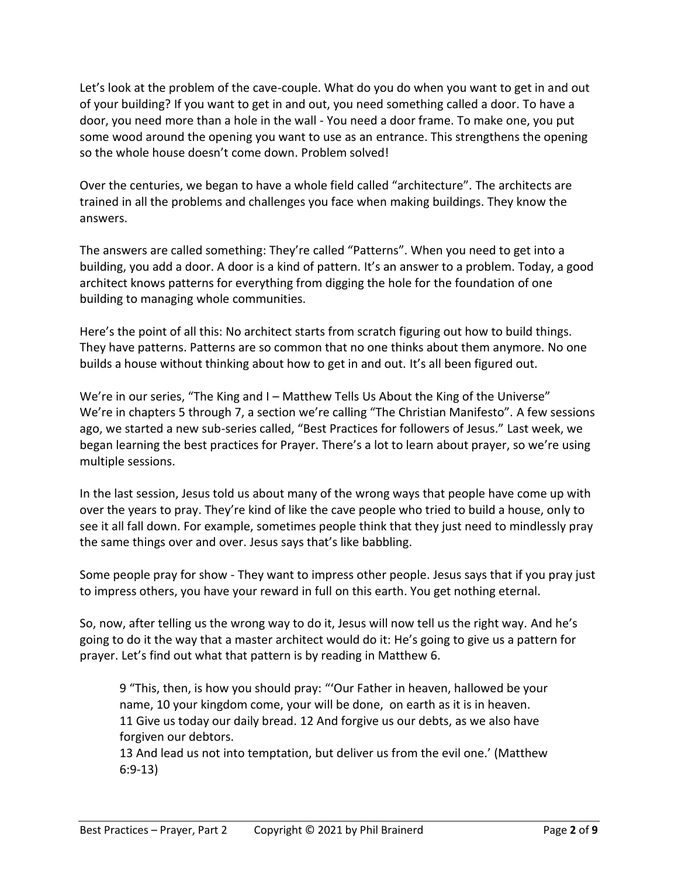Let's look at the problem of the cave-couple. What do you do when you want to get in and out of your building? If you want to get in and out, you need something called a door. To have a door, you need more than a hole in the wall - You need a door frame. To make one, you put some wood around the opening you want to use as an entrance. This strengthens the opening so the whole house doesn't come down. Problem solved!

Over the centuries, we began to have a whole field called "architecture". The architects are trained in all the problems and challenges you face when making buildings. They know the answers.

The answers are called something: They're called "Patterns". When you need to get into a building, you add a door. A door is a kind of pattern. It's an answer to a problem. Today, a good architect knows patterns for everything from digging the hole for the foundation of one building to managing whole communities.

Here's the point of all this: No architect starts from scratch figuring out how to build things. They have patterns. Patterns are so common that no one thinks about them anymore. No one builds a house without thinking about how to get in and out. It's all been figured out.

We're in our series, "The King and I – Matthew Tells Us About the King of the Universe" We're in chapters 5 through 7, a section we're calling "The Christian Manifesto". A few sessions ago, we started a new sub-series called, "Best Practices for followers of Jesus." Last week, we began learning the best practices for Prayer. There's a lot to learn about prayer, so we're using multiple sessions.

In the last session, Jesus told us about many of the wrong ways that people have come up with over the years to pray. They're kind of like the cave people who tried to build a house, only to see it all fall down. For example, sometimes people think that they just need to mindlessly pray the same things over and over. Jesus says that's like babbling.

Some people pray for show - They want to impress other people. Jesus says that if you pray just to impress others, you have your reward in full on this earth. You get nothing eternal.

So, now, after telling us the wrong way to do it, Jesus will now tell us the right way. And he's going to do it the way that a master architect would do it: He's going to give us a pattern for prayer. Let's find out what that pattern is by reading in Matthew 6.

9 "This, then, is how you should pray: "'Our Father in heaven, hallowed be your name, 10 your kingdom come, your will be done, on earth as it is in heaven. 11 Give us today our daily bread. 12 And forgive us our debts, as we also have forgiven our debtors.

13 And lead us not into temptation, but deliver us from the evil one.' (Matthew 6:9-13)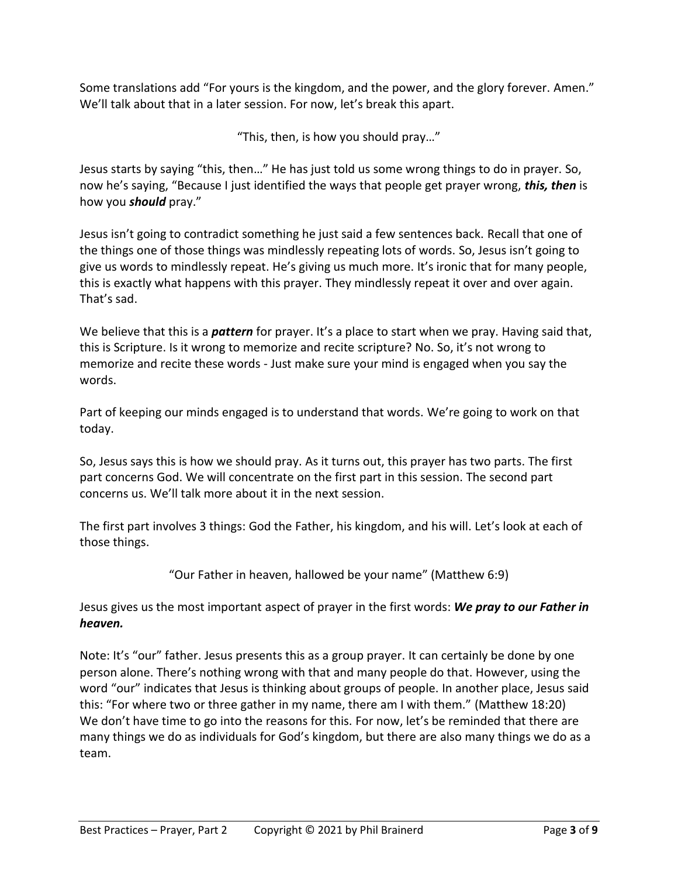Some translations add "For yours is the kingdom, and the power, and the glory forever. Amen." We'll talk about that in a later session. For now, let's break this apart.

"This, then, is how you should pray…"

Jesus starts by saying "this, then…" He has just told us some wrong things to do in prayer. So, now he's saying, "Because I just identified the ways that people get prayer wrong, *this, then* is how you *should* pray."

Jesus isn't going to contradict something he just said a few sentences back. Recall that one of the things one of those things was mindlessly repeating lots of words. So, Jesus isn't going to give us words to mindlessly repeat. He's giving us much more. It's ironic that for many people, this is exactly what happens with this prayer. They mindlessly repeat it over and over again. That's sad.

We believe that this is a *pattern* for prayer. It's a place to start when we pray. Having said that, this is Scripture. Is it wrong to memorize and recite scripture? No. So, it's not wrong to memorize and recite these words - Just make sure your mind is engaged when you say the words.

Part of keeping our minds engaged is to understand that words. We're going to work on that today.

So, Jesus says this is how we should pray. As it turns out, this prayer has two parts. The first part concerns God. We will concentrate on the first part in this session. The second part concerns us. We'll talk more about it in the next session.

The first part involves 3 things: God the Father, his kingdom, and his will. Let's look at each of those things.

"Our Father in heaven, hallowed be your name" (Matthew 6:9)

Jesus gives us the most important aspect of prayer in the first words: *We pray to our Father in heaven.*

Note: It's "our" father. Jesus presents this as a group prayer. It can certainly be done by one person alone. There's nothing wrong with that and many people do that. However, using the word "our" indicates that Jesus is thinking about groups of people. In another place, Jesus said this: "For where two or three gather in my name, there am I with them." (Matthew 18:20) We don't have time to go into the reasons for this. For now, let's be reminded that there are many things we do as individuals for God's kingdom, but there are also many things we do as a team.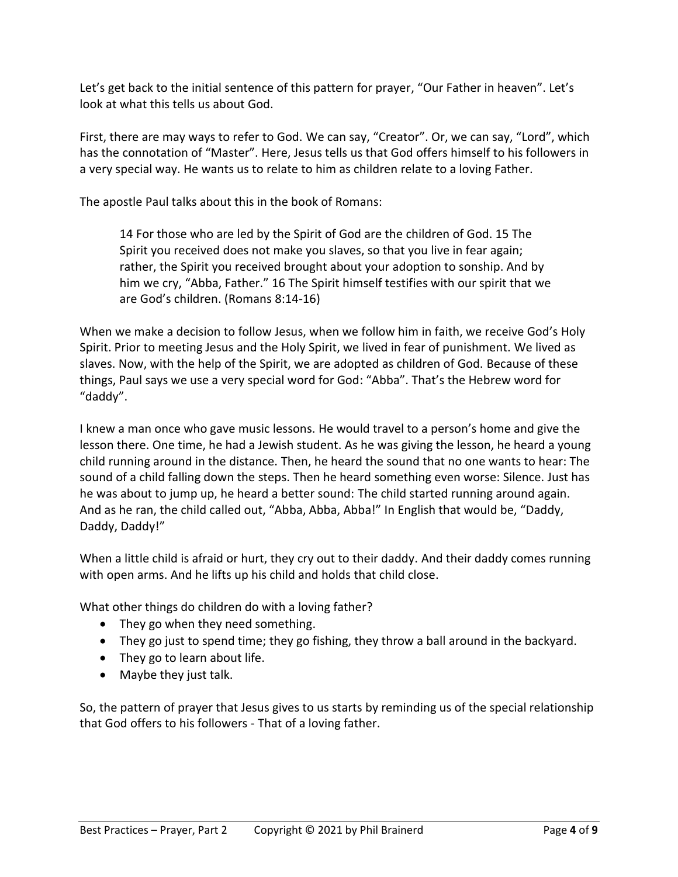Let's get back to the initial sentence of this pattern for prayer, "Our Father in heaven". Let's look at what this tells us about God.

First, there are may ways to refer to God. We can say, "Creator". Or, we can say, "Lord", which has the connotation of "Master". Here, Jesus tells us that God offers himself to his followers in a very special way. He wants us to relate to him as children relate to a loving Father.

The apostle Paul talks about this in the book of Romans:

14 For those who are led by the Spirit of God are the children of God. 15 The Spirit you received does not make you slaves, so that you live in fear again; rather, the Spirit you received brought about your adoption to sonship. And by him we cry, "Abba, Father." 16 The Spirit himself testifies with our spirit that we are God's children. (Romans 8:14-16)

When we make a decision to follow Jesus, when we follow him in faith, we receive God's Holy Spirit. Prior to meeting Jesus and the Holy Spirit, we lived in fear of punishment. We lived as slaves. Now, with the help of the Spirit, we are adopted as children of God. Because of these things, Paul says we use a very special word for God: "Abba". That's the Hebrew word for "daddy".

I knew a man once who gave music lessons. He would travel to a person's home and give the lesson there. One time, he had a Jewish student. As he was giving the lesson, he heard a young child running around in the distance. Then, he heard the sound that no one wants to hear: The sound of a child falling down the steps. Then he heard something even worse: Silence. Just has he was about to jump up, he heard a better sound: The child started running around again. And as he ran, the child called out, "Abba, Abba, Abba!" In English that would be, "Daddy, Daddy, Daddy!"

When a little child is afraid or hurt, they cry out to their daddy. And their daddy comes running with open arms. And he lifts up his child and holds that child close.

What other things do children do with a loving father?

- They go when they need something.
- They go just to spend time; they go fishing, they throw a ball around in the backyard.
- They go to learn about life.
- Maybe they just talk.

So, the pattern of prayer that Jesus gives to us starts by reminding us of the special relationship that God offers to his followers - That of a loving father.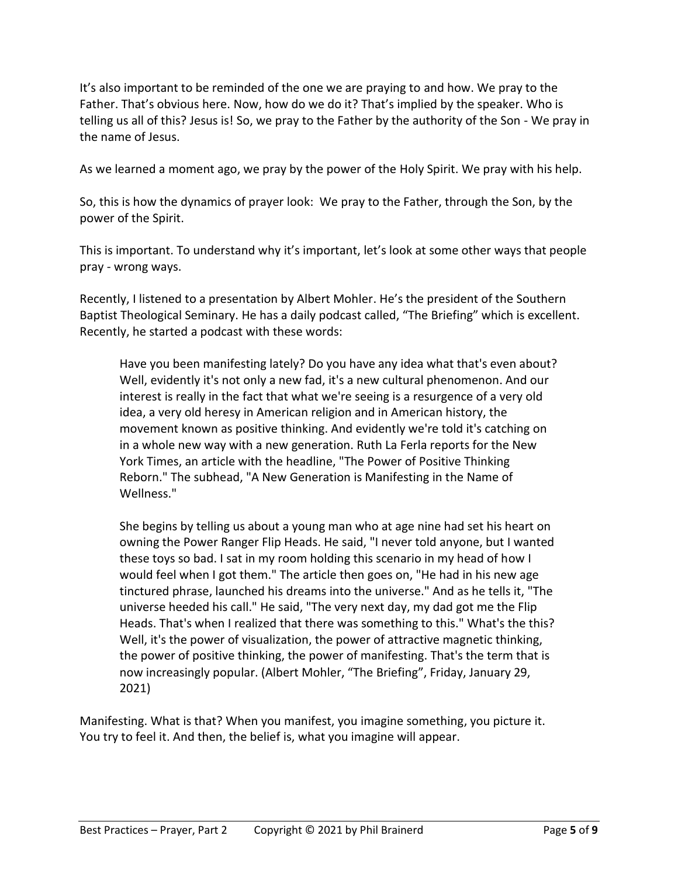It's also important to be reminded of the one we are praying to and how. We pray to the Father. That's obvious here. Now, how do we do it? That's implied by the speaker. Who is telling us all of this? Jesus is! So, we pray to the Father by the authority of the Son - We pray in the name of Jesus.

As we learned a moment ago, we pray by the power of the Holy Spirit. We pray with his help.

So, this is how the dynamics of prayer look: We pray to the Father, through the Son, by the power of the Spirit.

This is important. To understand why it's important, let's look at some other ways that people pray - wrong ways.

Recently, I listened to a presentation by Albert Mohler. He's the president of the Southern Baptist Theological Seminary. He has a daily podcast called, "The Briefing" which is excellent. Recently, he started a podcast with these words:

Have you been manifesting lately? Do you have any idea what that's even about? Well, evidently it's not only a new fad, it's a new cultural phenomenon. And our interest is really in the fact that what we're seeing is a resurgence of a very old idea, a very old heresy in American religion and in American history, the movement known as positive thinking. And evidently we're told it's catching on in a whole new way with a new generation. Ruth La Ferla reports for the New York Times, an article with the headline, "The Power of Positive Thinking Reborn." The subhead, "A New Generation is Manifesting in the Name of Wellness."

She begins by telling us about a young man who at age nine had set his heart on owning the Power Ranger Flip Heads. He said, "I never told anyone, but I wanted these toys so bad. I sat in my room holding this scenario in my head of how I would feel when I got them." The article then goes on, "He had in his new age tinctured phrase, launched his dreams into the universe." And as he tells it, "The universe heeded his call." He said, "The very next day, my dad got me the Flip Heads. That's when I realized that there was something to this." What's the this? Well, it's the power of visualization, the power of attractive magnetic thinking, the power of positive thinking, the power of manifesting. That's the term that is now increasingly popular. (Albert Mohler, "The Briefing", Friday, January 29, 2021)

Manifesting. What is that? When you manifest, you imagine something, you picture it. You try to feel it. And then, the belief is, what you imagine will appear.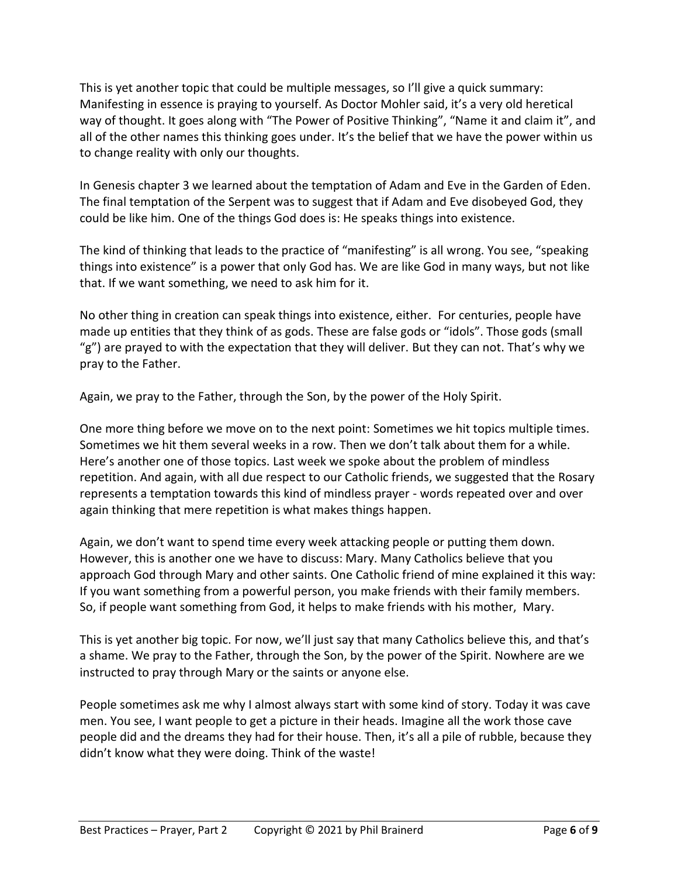This is yet another topic that could be multiple messages, so I'll give a quick summary: Manifesting in essence is praying to yourself. As Doctor Mohler said, it's a very old heretical way of thought. It goes along with "The Power of Positive Thinking", "Name it and claim it", and all of the other names this thinking goes under. It's the belief that we have the power within us to change reality with only our thoughts.

In Genesis chapter 3 we learned about the temptation of Adam and Eve in the Garden of Eden. The final temptation of the Serpent was to suggest that if Adam and Eve disobeyed God, they could be like him. One of the things God does is: He speaks things into existence.

The kind of thinking that leads to the practice of "manifesting" is all wrong. You see, "speaking things into existence" is a power that only God has. We are like God in many ways, but not like that. If we want something, we need to ask him for it.

No other thing in creation can speak things into existence, either. For centuries, people have made up entities that they think of as gods. These are false gods or "idols". Those gods (small "g") are prayed to with the expectation that they will deliver. But they can not. That's why we pray to the Father.

Again, we pray to the Father, through the Son, by the power of the Holy Spirit.

One more thing before we move on to the next point: Sometimes we hit topics multiple times. Sometimes we hit them several weeks in a row. Then we don't talk about them for a while. Here's another one of those topics. Last week we spoke about the problem of mindless repetition. And again, with all due respect to our Catholic friends, we suggested that the Rosary represents a temptation towards this kind of mindless prayer - words repeated over and over again thinking that mere repetition is what makes things happen.

Again, we don't want to spend time every week attacking people or putting them down. However, this is another one we have to discuss: Mary. Many Catholics believe that you approach God through Mary and other saints. One Catholic friend of mine explained it this way: If you want something from a powerful person, you make friends with their family members. So, if people want something from God, it helps to make friends with his mother, Mary.

This is yet another big topic. For now, we'll just say that many Catholics believe this, and that's a shame. We pray to the Father, through the Son, by the power of the Spirit. Nowhere are we instructed to pray through Mary or the saints or anyone else.

People sometimes ask me why I almost always start with some kind of story. Today it was cave men. You see, I want people to get a picture in their heads. Imagine all the work those cave people did and the dreams they had for their house. Then, it's all a pile of rubble, because they didn't know what they were doing. Think of the waste!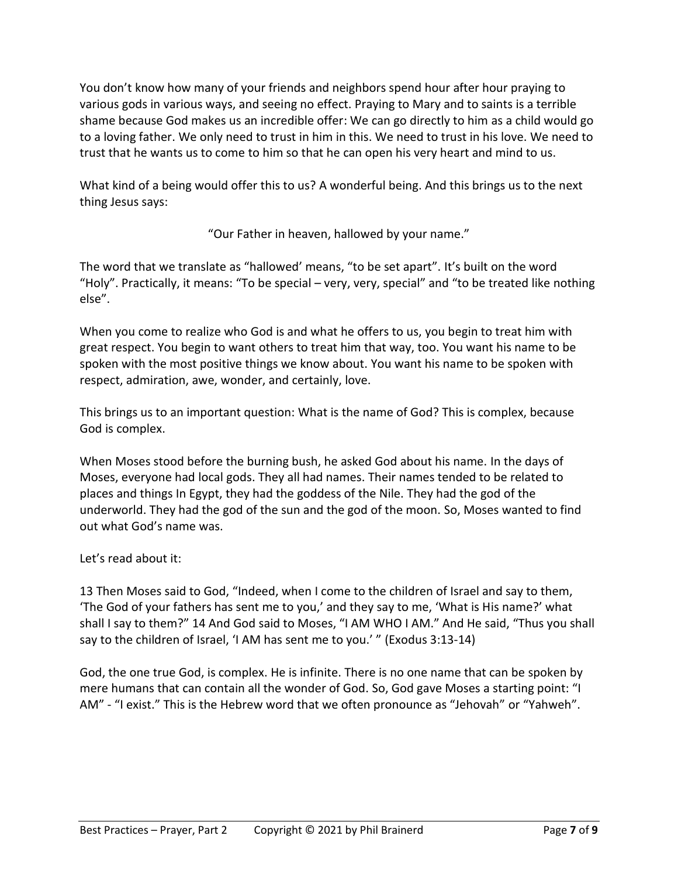You don't know how many of your friends and neighbors spend hour after hour praying to various gods in various ways, and seeing no effect. Praying to Mary and to saints is a terrible shame because God makes us an incredible offer: We can go directly to him as a child would go to a loving father. We only need to trust in him in this. We need to trust in his love. We need to trust that he wants us to come to him so that he can open his very heart and mind to us.

What kind of a being would offer this to us? A wonderful being. And this brings us to the next thing Jesus says:

"Our Father in heaven, hallowed by your name."

The word that we translate as "hallowed' means, "to be set apart". It's built on the word "Holy". Practically, it means: "To be special – very, very, special" and "to be treated like nothing else".

When you come to realize who God is and what he offers to us, you begin to treat him with great respect. You begin to want others to treat him that way, too. You want his name to be spoken with the most positive things we know about. You want his name to be spoken with respect, admiration, awe, wonder, and certainly, love.

This brings us to an important question: What is the name of God? This is complex, because God is complex.

When Moses stood before the burning bush, he asked God about his name. In the days of Moses, everyone had local gods. They all had names. Their names tended to be related to places and things In Egypt, they had the goddess of the Nile. They had the god of the underworld. They had the god of the sun and the god of the moon. So, Moses wanted to find out what God's name was.

Let's read about it:

13 Then Moses said to God, "Indeed, when I come to the children of Israel and say to them, 'The God of your fathers has sent me to you,' and they say to me, 'What is His name?' what shall I say to them?" 14 And God said to Moses, "I AM WHO I AM." And He said, "Thus you shall say to the children of Israel, 'I AM has sent me to you.' " (Exodus 3:13-14)

God, the one true God, is complex. He is infinite. There is no one name that can be spoken by mere humans that can contain all the wonder of God. So, God gave Moses a starting point: "I AM" - "I exist." This is the Hebrew word that we often pronounce as "Jehovah" or "Yahweh".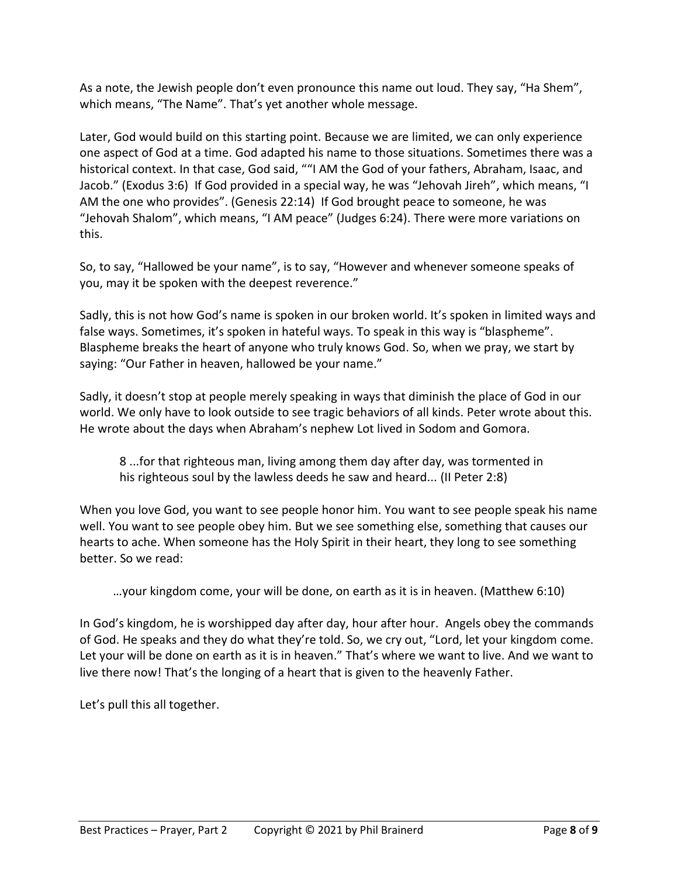As a note, the Jewish people don't even pronounce this name out loud. They say, "Ha Shem", which means, "The Name". That's yet another whole message.

Later, God would build on this starting point. Because we are limited, we can only experience one aspect of God at a time. God adapted his name to those situations. Sometimes there was a historical context. In that case, God said, ""I AM the God of your fathers, Abraham, Isaac, and Jacob." (Exodus 3:6) If God provided in a special way, he was "Jehovah Jireh", which means, "I AM the one who provides". (Genesis 22:14) If God brought peace to someone, he was "Jehovah Shalom", which means, "I AM peace" (Judges 6:24). There were more variations on this.

So, to say, "Hallowed be your name", is to say, "However and whenever someone speaks of you, may it be spoken with the deepest reverence."

Sadly, this is not how God's name is spoken in our broken world. It's spoken in limited ways and false ways. Sometimes, it's spoken in hateful ways. To speak in this way is "blaspheme". Blaspheme breaks the heart of anyone who truly knows God. So, when we pray, we start by saying: "Our Father in heaven, hallowed be your name."

Sadly, it doesn't stop at people merely speaking in ways that diminish the place of God in our world. We only have to look outside to see tragic behaviors of all kinds. Peter wrote about this. He wrote about the days when Abraham's nephew Lot lived in Sodom and Gomora.

8 ...for that righteous man, living among them day after day, was tormented in his righteous soul by the lawless deeds he saw and heard... (II Peter 2:8)

When you love God, you want to see people honor him. You want to see people speak his name well. You want to see people obey him. But we see something else, something that causes our hearts to ache. When someone has the Holy Spirit in their heart, they long to see something better. So we read:

…your kingdom come, your will be done, on earth as it is in heaven. (Matthew 6:10)

In God's kingdom, he is worshipped day after day, hour after hour. Angels obey the commands of God. He speaks and they do what they're told. So, we cry out, "Lord, let your kingdom come. Let your will be done on earth as it is in heaven." That's where we want to live. And we want to live there now! That's the longing of a heart that is given to the heavenly Father.

Let's pull this all together.